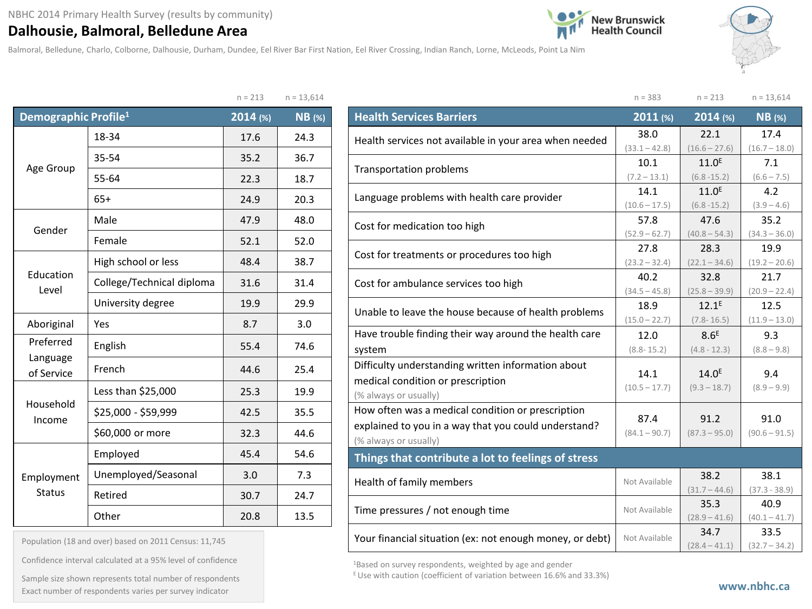## **Dalhousie, Balmoral, Belledune Area**

Balmoral, Belledune, Charlo, Colborne, Dalhousie, Durham, Dundee, Eel River Bar First Nation, Eel River Crossing, Indian Ranch, Lorne, McLeods, Point La Nim



|                                  |                           | $n = 213$ | $n = 13,614$  |
|----------------------------------|---------------------------|-----------|---------------|
| Demographic Profile <sup>1</sup> |                           | 2014 (%)  | <b>NB</b> (%) |
|                                  | 18-34                     | 17.6      | 24.3          |
|                                  | 35-54                     | 35.2      | 36.7          |
| Age Group                        | 55-64                     | 22.3      | 18.7          |
|                                  | $65+$                     | 24.9      | 20.3          |
| Gender                           | Male                      | 47.9      | 48.0          |
|                                  | Female                    | 52.1      | 52.0          |
|                                  | High school or less       | 48.4      | 38.7          |
| Education<br>Level               | College/Technical diploma | 31.6      | 31.4          |
|                                  | University degree         | 19.9      | 29.9          |
| Aboriginal                       | Yes                       | 8.7       | 3.0           |
| Preferred<br>Language            | English                   | 55.4      | 74.6          |
| of Service                       | French                    | 44.6      | 25.4          |
|                                  | Less than \$25,000        | 25.3      | 19.9          |
| Household<br>Income              | \$25,000 - \$59,999       | 42.5      | 35.5          |
|                                  | \$60,000 or more          | 32.3      | 44.6          |
|                                  | Employed                  | 45.4      | 54.6          |
| Employment                       | Unemployed/Seasonal       | 3.0       | 7.3           |
| <b>Status</b>                    | Retired                   | 30.7      | 24.7          |
|                                  | Other                     | 20.8      | 13.5          |

Confidence interval calculated at a 95% level of confidence

Sample size shown represents total number of respondents Exact number of respondents varies per survey indicator **www.nbhc.ca** Exact number of respondents varies per survey indicator

|                                                          | $n = 383$       | $n = 213$         | $n = 13,614$    |  |
|----------------------------------------------------------|-----------------|-------------------|-----------------|--|
| <b>Health Services Barriers</b>                          | 2011 (%)        | 2014 (%)          | $NB$ (%)        |  |
| Health services not available in your area when needed   | 38.0            | 22.1              | 17.4            |  |
|                                                          | $(33.1 - 42.8)$ | $(16.6 - 27.6)$   | $(16.7 - 18.0)$ |  |
| <b>Transportation problems</b>                           | 10.1            | 11.0 <sup>E</sup> | 7.1             |  |
|                                                          | $(7.2 - 13.1)$  | $(6.8 - 15.2)$    | $(6.6 - 7.5)$   |  |
| Language problems with health care provider              | 14.1            | 11.0 <sup>E</sup> | 4.2             |  |
|                                                          | $(10.6 - 17.5)$ | $(6.8 - 15.2)$    | $(3.9 - 4.6)$   |  |
| Cost for medication too high                             | 57.8            | 47.6              | 35.2            |  |
|                                                          | $(52.9 - 62.7)$ | $(40.8 - 54.3)$   | $(34.3 - 36.0)$ |  |
| Cost for treatments or procedures too high               | 27.8            | 28.3              | 19.9            |  |
|                                                          | $(23.2 - 32.4)$ | $(22.1 - 34.6)$   | $(19.2 - 20.6)$ |  |
| Cost for ambulance services too high                     | 40.2            | 32.8              | 21.7            |  |
|                                                          | $(34.5 - 45.8)$ | $(25.8 - 39.9)$   | $(20.9 - 22.4)$ |  |
| Unable to leave the house because of health problems     | 18.9            | 12.1 <sup>E</sup> | 12.5            |  |
|                                                          | $(15.0 - 22.7)$ | $(7.8 - 16.5)$    | $(11.9 - 13.0)$ |  |
| Have trouble finding their way around the health care    | 12.0            | 8.6 <sup>E</sup>  | 9.3             |  |
| system                                                   | $(8.8 - 15.2)$  | $(4.8 - 12.3)$    | $(8.8 - 9.8)$   |  |
| Difficulty understanding written information about       |                 |                   |                 |  |
| medical condition or prescription                        | 14.1            | 14.0 <sup>E</sup> | 9.4             |  |
| (% always or usually)                                    | $(10.5 - 17.7)$ | $(9.3 - 18.7)$    | $(8.9 - 9.9)$   |  |
| How often was a medical condition or prescription        |                 |                   |                 |  |
| explained to you in a way that you could understand?     | 87.4            | 91.2              | 91.0            |  |
| (% always or usually)                                    | $(84.1 - 90.7)$ | $(87.3 - 95.0)$   | $(90.6 - 91.5)$ |  |
| Things that contribute a lot to feelings of stress       |                 |                   |                 |  |
|                                                          |                 | 38.2              | 38.1            |  |
| Health of family members                                 | Not Available   | $(31.7 - 44.6)$   | $(37.3 - 38.9)$ |  |
| Time pressures / not enough time                         | Not Available   | 35.3              | 40.9            |  |
|                                                          |                 | $(28.9 - 41.6)$   | $(40.1 - 41.7)$ |  |
| Your financial situation (ex: not enough money, or debt) | Not Available   | 34.7              | 33.5            |  |
|                                                          |                 | $(28.4 - 41.1)$   | $(32.7 - 34.2)$ |  |

**New Brunswick**<br>Health Council

1Based on survey respondents, weighted by age and gender

E Use with caution (coefficient of variation between 16.6% and 33.3%)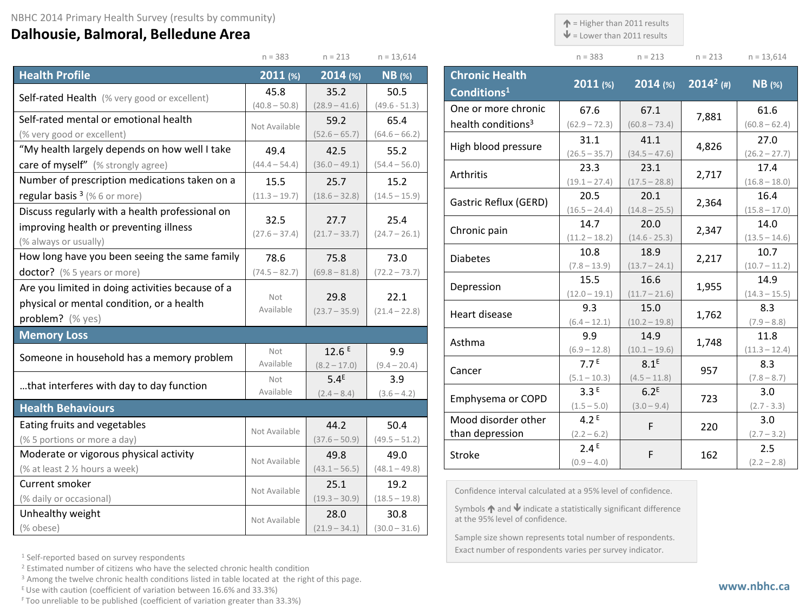## **Dalhousie, Balmoral, Belledune Area**

 $\uparrow$  = Higher than 2011 results

 $\blacklozenge$  = Lower than 2011 results

Exact number of respondents varies per survey indicator.

| $ -$ |  |
|------|--|

 $(60.8 - 62.4)$ 

 $(26.2 - 27.7)$ 

 $(16.8 - 18.0)$ 

 $(15.8 - 17.0)$ 

 $(13.5 - 14.6)$ 

 $(10.7 - 11.2)$ 

 $(14.3 - 15.5)$ 

 $(11.3 - 12.4)$ 

|                                                  | $n = 383$                                                                                         | $n = 213$                          | $n = 13,614$            |                                                              | $n = 383$                          | $n = 213$                           | $n = 213$    | $n = 13,614$           |
|--------------------------------------------------|---------------------------------------------------------------------------------------------------|------------------------------------|-------------------------|--------------------------------------------------------------|------------------------------------|-------------------------------------|--------------|------------------------|
| <b>Health Profile</b>                            | $2011$ (%)                                                                                        | $2014$ (%)                         | $NB$ (%)                | <b>Chronic Health</b>                                        | $2011$ (%)                         | $2014$ (%)                          | $2014^2$ (#) | $NB$ (%)               |
| Self-rated Health (% very good or excellent)     | 45.8                                                                                              | 35.2                               | 50.5                    | Conditions <sup>1</sup>                                      |                                    |                                     |              |                        |
| Self-rated mental or emotional health            | $(40.8 - 50.8)$                                                                                   | $(28.9 - 41.6)$<br>59.2            | $(49.6 - 51.3)$<br>65.4 | One or more chronic                                          | 67.6                               | 67.1                                | 7,881        | 61.6                   |
| (% very good or excellent)                       | Not Available                                                                                     | $(52.6 - 65.7)$                    | $(64.6 - 66.2)$         | health conditions <sup>3</sup>                               | $(62.9 - 72.3)$                    | $(60.8 - 73.4)$                     |              | $(60.8 - 62.4)$        |
| "My health largely depends on how well I take    | 49.4                                                                                              | 42.5                               | 55.2                    | High blood pressure                                          | 31.1                               | 41.1                                | 4,826        | 27.0                   |
| care of myself" (% strongly agree)               | $(44.4 - 54.4)$                                                                                   | $(36.0 - 49.1)$                    | $(54.4 - 56.0)$         |                                                              | $(26.5 - 35.7)$                    | $(34.5 - 47.6)$                     |              | $(26.2 - 27.7$         |
| Number of prescription medications taken on a    | 15.5                                                                                              | 25.7                               | 15.2                    | Arthritis                                                    | 23.3<br>$(19.1 - 27.4)$            | 23.1<br>$(17.5 - 28.8)$             | 2,717        | 17.4<br>$(16.8 - 18.0$ |
| regular basis $3$ (% 6 or more)                  | $(11.3 - 19.7)$                                                                                   | $(18.6 - 32.8)$                    | $(14.5 - 15.9)$         |                                                              | 20.5                               | 20.1                                |              | 16.4                   |
| Discuss regularly with a health professional on  |                                                                                                   |                                    |                         | Gastric Reflux (GERD)                                        | $(16.5 - 24.4)$                    | $(14.8 - 25.5)$                     | 2,364        | $(15.8 - 17.0$         |
| improving health or preventing illness           | 32.5                                                                                              | 27.7                               | 25.4                    |                                                              | 14.7                               | 20.0                                |              | 14.0                   |
| (% always or usually)                            | $(27.6 - 37.4)$                                                                                   | $(21.7 - 33.7)$                    | $(24.7 - 26.1)$         | Chronic pain                                                 | $(11.2 - 18.2)$                    | $(14.6 - 25.3)$                     | 2,347        | $(13.5 - 14.6)$        |
| How long have you been seeing the same family    | 78.6                                                                                              | 75.8                               | 73.0                    | <b>Diabetes</b>                                              | 10.8                               | 18.9                                |              | 10.7                   |
| doctor? (% 5 years or more)                      | $(74.5 - 82.7)$                                                                                   | $(69.8 - 81.8)$                    | $(72.2 - 73.7)$         |                                                              | $(7.8 - 13.9)$                     | $(13.7 - 24.1)$                     | 2,217        | $(10.7 - 11.2)$        |
| Are you limited in doing activities because of a |                                                                                                   |                                    |                         | Depression                                                   | 15.5                               | 16.6                                | 1,955        | 14.9                   |
| physical or mental condition, or a health        | Not                                                                                               | 29.8                               | 22.1                    |                                                              | $(12.0 - 19.1)$                    | $(11.7 - 21.6)$                     |              | $(14.3 - 15.5)$        |
|                                                  | Available                                                                                         | $(23.7 - 35.9)$                    | $(21.4 - 22.8)$         | Heart disease                                                | 9.3                                | 15.0                                | 1,762        | 8.3                    |
| problem? (% yes)                                 |                                                                                                   |                                    |                         |                                                              | $(6.4 - 12.1)$                     | $(10.2 - 19.8)$                     |              | $(7.9 - 8.8)$          |
| <b>Memory Loss</b>                               |                                                                                                   |                                    |                         | Asthma                                                       | 9.9                                | 14.9                                | 1,748        | 11.8                   |
| Someone in household has a memory problem        | Not                                                                                               | 12.6E                              | 9.9                     |                                                              | $(6.9 - 12.8)$<br>7.7 <sup>E</sup> | $(10.1 - 19.6)$<br>8.1 <sup>E</sup> |              | $(11.3 - 12.4$<br>8.3  |
|                                                  | Available                                                                                         | $(8.2 - 17.0)$<br>5.4 <sup>E</sup> | $(9.4 - 20.4)$          | Cancer                                                       | $(5.1 - 10.3)$                     | $(4.5 - 11.8)$                      | 957          | $(7.8 - 8.7)$          |
| that interferes with day to day function         | Not<br>Available                                                                                  | $(2.4 - 8.4)$                      | 3.9<br>$(3.6 - 4.2)$    |                                                              | 3.3E                               | $6.2^E$                             |              | 3.0                    |
| <b>Health Behaviours</b>                         |                                                                                                   |                                    |                         | Emphysema or COPD                                            | $(1.5 - 5.0)$                      | $(3.0 - 9.4)$                       | 723          | $(2.7 - 3.3)$          |
| Eating fruits and vegetables                     |                                                                                                   |                                    |                         | Mood disorder other                                          | 4.2 <sup>E</sup>                   |                                     |              | 3.0                    |
| (% 5 portions or more a day)                     | Not Available                                                                                     | 44.2<br>$(37.6 - 50.9)$            | 50.4<br>$(49.5 - 51.2)$ | than depression                                              | $(2.2 - 6.2)$                      | F.                                  | 220          | $(2.7 - 3.2)$          |
| Moderate or vigorous physical activity           |                                                                                                   | 49.8                               | 49.0                    | Stroke                                                       | 2.4 <sup>E</sup>                   | F                                   | 162          | 2.5                    |
| (% at least 2 1/2 hours a week)                  | Not Available                                                                                     | $(43.1 - 56.5)$                    | $(48.1 - 49.8)$         |                                                              | $(0.9 - 4.0)$                      |                                     |              | $(2.2 - 2.8)$          |
| Current smoker                                   |                                                                                                   | 25.1                               | 19.2                    |                                                              |                                    |                                     |              |                        |
| (% daily or occasional)                          | Not Available                                                                                     | $(19.3 - 30.9)$                    | $(18.5 - 19.8)$         | Confidence interval calculated at a 95% level of confidence. |                                    |                                     |              |                        |
| Unhealthy weight                                 | Symbols $\bigwedge$ and $\bigvee$ indicate a statistically significant difference<br>28.0<br>30.8 |                                    |                         |                                                              |                                    |                                     |              |                        |
| (% obese)                                        | Not Available                                                                                     | $(21.9 - 34.1)$                    | $(30.0 - 31.6)$         | at the 95% level of confidence.                              |                                    |                                     |              |                        |
|                                                  |                                                                                                   |                                    |                         | Sample size shown represents total number of respondents.    |                                    |                                     |              |                        |

<sup>1</sup> Self-reported based on survey respondents

<sup>2</sup> Estimated number of citizens who have the selected chronic health condition

<sup>3</sup> Among the twelve chronic health conditions listed in table located at the right of this page.

 $E$  Use with caution (coefficient of variation between 16.6% and 33.3%)

F Too unreliable to be published (coefficient of variation greater than 33.3%)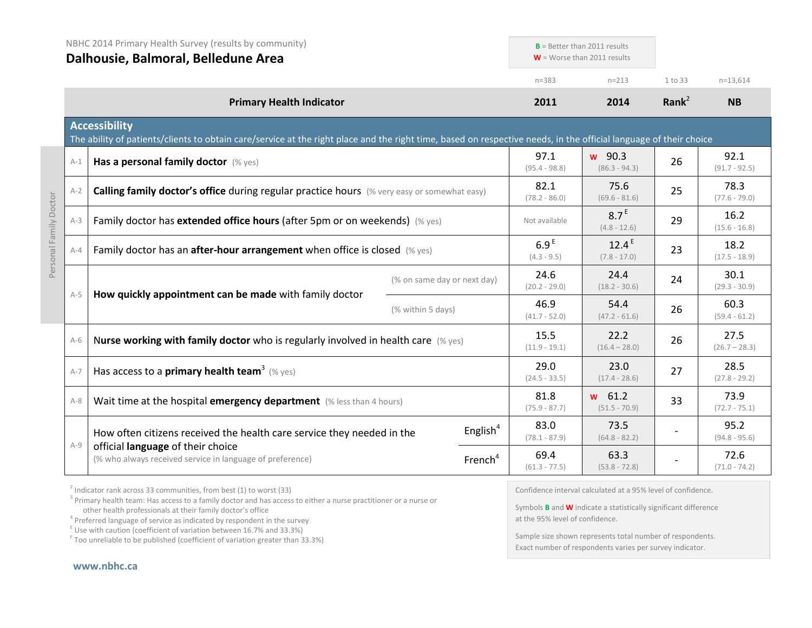|                                                                |                                                                                             | NBHC 2014 Primary Health Survey (results by community)<br>$B =$ Better than 2011 results<br>Dalhousie, Balmoral, Belledune Area<br>$W =$ Worse than 2011 results                                                                                                                                          |                                                                                                                                                                                                                                         |                              |                         |                                                                                                                                                                   |
|----------------------------------------------------------------|---------------------------------------------------------------------------------------------|-----------------------------------------------------------------------------------------------------------------------------------------------------------------------------------------------------------------------------------------------------------------------------------------------------------|-----------------------------------------------------------------------------------------------------------------------------------------------------------------------------------------------------------------------------------------|------------------------------|-------------------------|-------------------------------------------------------------------------------------------------------------------------------------------------------------------|
|                                                                |                                                                                             |                                                                                                                                                                                                                                                                                                           | $n = 383$                                                                                                                                                                                                                               | $n = 213$                    | 1 to 33                 | $n=13,614$                                                                                                                                                        |
| <b>Primary Health Indicator</b>                                |                                                                                             |                                                                                                                                                                                                                                                                                                           | 2011                                                                                                                                                                                                                                    | 2014                         | Rank $^2$               | <b>NB</b>                                                                                                                                                         |
| <b>Accessibility</b>                                           |                                                                                             |                                                                                                                                                                                                                                                                                                           |                                                                                                                                                                                                                                         |                              |                         |                                                                                                                                                                   |
| Has a personal family doctor (% yes)                           |                                                                                             |                                                                                                                                                                                                                                                                                                           | 97.1<br>$(95.4 - 98.8)$                                                                                                                                                                                                                 | w 90.3<br>$(86.3 - 94.3)$    | 26                      | 92.1<br>$(91.7 - 92.5)$                                                                                                                                           |
|                                                                |                                                                                             |                                                                                                                                                                                                                                                                                                           | 82.1<br>$(78.2 - 86.0)$                                                                                                                                                                                                                 | 75.6<br>$(69.6 - 81.6)$      | 25                      | 78.3<br>$(77.6 - 79.0)$                                                                                                                                           |
|                                                                |                                                                                             | Not available                                                                                                                                                                                                                                                                                             | 8.7 <sup>E</sup><br>$(4.8 - 12.6)$                                                                                                                                                                                                      | 29                           | 16.2<br>$(15.6 - 16.8)$ |                                                                                                                                                                   |
|                                                                |                                                                                             |                                                                                                                                                                                                                                                                                                           | 6.9 <sup>E</sup><br>$(4.3 - 9.5)$                                                                                                                                                                                                       | $12.4^{E}$<br>$(7.8 - 17.0)$ | 23                      | 18.2<br>$(17.5 - 18.9)$                                                                                                                                           |
|                                                                |                                                                                             |                                                                                                                                                                                                                                                                                                           | 24.6<br>$(20.2 - 29.0)$                                                                                                                                                                                                                 | 24.4<br>$(18.2 - 30.6)$      | 24                      | 30.1<br>$(29.3 - 30.9)$                                                                                                                                           |
|                                                                |                                                                                             |                                                                                                                                                                                                                                                                                                           | 46.9<br>$(41.7 - 52.0)$                                                                                                                                                                                                                 | 54.4<br>$(47.2 - 61.6)$      | 26                      | 60.3<br>$(59.4 - 61.2)$                                                                                                                                           |
|                                                                |                                                                                             |                                                                                                                                                                                                                                                                                                           | 15.5<br>$(11.9 - 19.1)$                                                                                                                                                                                                                 | 22.2<br>$(16.4 - 28.0)$      | 26                      | 27.5<br>$(26.7 - 28.3)$                                                                                                                                           |
| Has access to a <b>primary health team<sup>3</sup></b> (% yes) |                                                                                             |                                                                                                                                                                                                                                                                                                           | 29.0<br>$(24.5 - 33.5)$                                                                                                                                                                                                                 | 23.0<br>$(17.4 - 28.6)$      | 27                      | 28.5<br>$(27.8 - 29.2)$                                                                                                                                           |
|                                                                |                                                                                             |                                                                                                                                                                                                                                                                                                           | 81.8<br>$(75.9 - 87.7)$                                                                                                                                                                                                                 | $w$ 61.2<br>$(51.5 - 70.9)$  | 33                      | 73.9<br>$(72.7 - 75.1)$                                                                                                                                           |
|                                                                |                                                                                             | English $4$                                                                                                                                                                                                                                                                                               | 83.0<br>$(78.1 - 87.9)$                                                                                                                                                                                                                 | 73.5<br>$(64.8 - 82.2)$      |                         | 95.2<br>$(94.8 - 95.6)$                                                                                                                                           |
| (% who always received service in language of preference)      |                                                                                             | French <sup>4</sup>                                                                                                                                                                                                                                                                                       | 69.4<br>$(61.3 - 77.5)$                                                                                                                                                                                                                 | 63.3<br>$(53.8 - 72.8)$      |                         | 72.6<br>$(71.0 - 74.2)$                                                                                                                                           |
|                                                                | How quickly appointment can be made with family doctor<br>official language of their choice | Family doctor has extended office hours (after 5pm or on weekends) (% yes)<br>Family doctor has an after-hour arrangement when office is closed (% yes)<br>Wait time at the hospital emergency department (% less than 4 hours)<br>How often citizens received the health care service they needed in the | Calling family doctor's office during regular practice hours (% very easy or somewhat easy)<br>(% on same day or next day)<br>(% within 5 days)<br>Nurse working with family doctor who is regularly involved in health care $(\%$ yes) |                              |                         | The ability of patients/clients to obtain care/service at the right place and the right time, based on respective needs, in the official language of their choice |

 $2$  Indicator rank across 33 communities, from best (1) to worst (33)

<sup>3</sup> Primary health team: Has access to a family doctor and has access to either a nurse practitioner or a nurse or other health professionals at their family doctor's office

<sup>4</sup> Preferred language of service as indicated by respondent in the survey

 $E$  Use with caution (coefficient of variation between 16.7% and 33.3%)

<sup>F</sup> Too unreliable to be published (coefficient of variation greater than 33.3%)

Confidence interval calculated at a 95% level of confidence.

Symbols **B** and **W** indicate a statistically significant difference at the 95% level of confidence.

Sample size shown represents total number of respondents. Exact number of respondents varies per survey indicator.

**[www.nbhc.ca](http://www.nbhc.ca/)**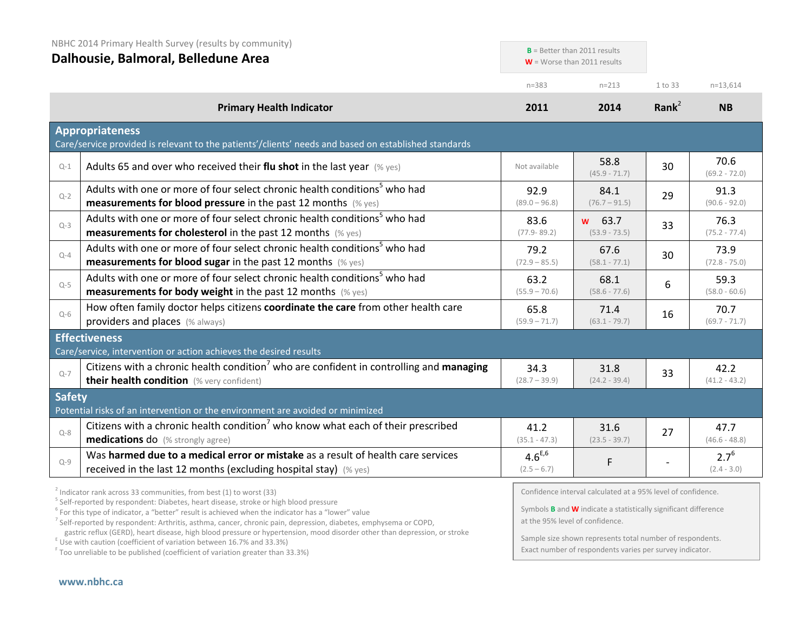| NBHC 2014 Primary Health Survey (results by community)<br>Dalhousie, Balmoral, Belledune Area |                                                                                                                                                                                                                                                                                                                                                                                                                           |                              | $B =$ Better than 2011 results<br>$W =$ Worse than 2011 results                                                                                                                  |           |                            |
|-----------------------------------------------------------------------------------------------|---------------------------------------------------------------------------------------------------------------------------------------------------------------------------------------------------------------------------------------------------------------------------------------------------------------------------------------------------------------------------------------------------------------------------|------------------------------|----------------------------------------------------------------------------------------------------------------------------------------------------------------------------------|-----------|----------------------------|
|                                                                                               |                                                                                                                                                                                                                                                                                                                                                                                                                           | $n = 383$                    | $n = 213$                                                                                                                                                                        | 1 to 33   | $n=13,614$                 |
|                                                                                               | <b>Primary Health Indicator</b>                                                                                                                                                                                                                                                                                                                                                                                           | 2011                         | 2014                                                                                                                                                                             | Rank $^2$ | <b>NB</b>                  |
|                                                                                               | <b>Appropriateness</b><br>Care/service provided is relevant to the patients'/clients' needs and based on established standards                                                                                                                                                                                                                                                                                            |                              |                                                                                                                                                                                  |           |                            |
| $Q-1$                                                                                         | Adults 65 and over who received their flu shot in the last year $(\%$ yes)                                                                                                                                                                                                                                                                                                                                                | Not available                | 58.8<br>$(45.9 - 71.7)$                                                                                                                                                          | 30        | 70.6<br>$(69.2 - 72.0)$    |
| $Q - 2$                                                                                       | Adults with one or more of four select chronic health conditions <sup>5</sup> who had<br><b>measurements for blood pressure</b> in the past 12 months (% yes)                                                                                                                                                                                                                                                             | 92.9<br>$(89.0 - 96.8)$      | 84.1<br>$(76.7 - 91.5)$                                                                                                                                                          | 29        | 91.3<br>$(90.6 - 92.0)$    |
| $Q-3$                                                                                         | Adults with one or more of four select chronic health conditions <sup>5</sup> who had<br>measurements for cholesterol in the past 12 months (% yes)                                                                                                                                                                                                                                                                       | 83.6<br>$(77.9 - 89.2)$      | $w$ 63.7<br>$(53.9 - 73.5)$                                                                                                                                                      | 33        | 76.3<br>$(75.2 - 77.4)$    |
| $Q-4$                                                                                         | Adults with one or more of four select chronic health conditions <sup>5</sup> who had<br>measurements for blood sugar in the past 12 months (% yes)                                                                                                                                                                                                                                                                       | 79.2<br>$(72.9 - 85.5)$      | 67.6<br>$(58.1 - 77.1)$                                                                                                                                                          | 30        | 73.9<br>$(72.8 - 75.0)$    |
| $Q-5$                                                                                         | Adults with one or more of four select chronic health conditions <sup>5</sup> who had<br>measurements for body weight in the past 12 months (% yes)                                                                                                                                                                                                                                                                       | 63.2<br>$(55.9 - 70.6)$      | 68.1<br>$(58.6 - 77.6)$                                                                                                                                                          | 6         | 59.3<br>$(58.0 - 60.6)$    |
| $O-6$                                                                                         | How often family doctor helps citizens coordinate the care from other health care<br>providers and places (% always)                                                                                                                                                                                                                                                                                                      | 65.8<br>$(59.9 - 71.7)$      | 71.4<br>$(63.1 - 79.7)$                                                                                                                                                          | 16        | 70.7<br>$(69.7 - 71.7)$    |
|                                                                                               | <b>Effectiveness</b><br>Care/service, intervention or action achieves the desired results                                                                                                                                                                                                                                                                                                                                 |                              |                                                                                                                                                                                  |           |                            |
| $Q - 7$                                                                                       | Citizens with a chronic health condition <sup>7</sup> who are confident in controlling and managing<br>their health condition (% very confident)                                                                                                                                                                                                                                                                          | 34.3<br>$(28.7 - 39.9)$      | 31.8<br>$(24.2 - 39.4)$                                                                                                                                                          | 33        | 42.2<br>$(41.2 - 43.2)$    |
| <b>Safety</b>                                                                                 | Potential risks of an intervention or the environment are avoided or minimized                                                                                                                                                                                                                                                                                                                                            |                              |                                                                                                                                                                                  |           |                            |
| $O-8$                                                                                         | Citizens with a chronic health condition <sup>7</sup> who know what each of their prescribed<br><b>medications do</b> (% strongly agree)                                                                                                                                                                                                                                                                                  | 41.2<br>$(35.1 - 47.3)$      | 31.6<br>$(23.5 - 39.7)$                                                                                                                                                          | 27        | 47.7<br>$(46.6 - 48.8)$    |
| $Q - 9$                                                                                       | Was harmed due to a medical error or mistake as a result of health care services<br>received in the last 12 months (excluding hospital stay) (% yes)                                                                                                                                                                                                                                                                      | $4.6^{E,6}$<br>$(2.5 - 6.7)$ | F                                                                                                                                                                                |           | $2.7^{6}$<br>$(2.4 - 3.0)$ |
|                                                                                               | $2$ Indicator rank across 33 communities, from best (1) to worst (33)<br><sup>5</sup> Self-reported by respondent: Diabetes, heart disease, stroke or high blood pressure<br><sup>6</sup> For this type of indicator, a "better" result is achieved when the indicator has a "lower" value<br><sup>7</sup> Self-reported by respondent: Arthritis, asthma, cancer, chronic pain, depression, diabetes, emphysema or COPD, |                              | Confidence interval calculated at a 95% level of confidence.<br>Symbols <b>B</b> and <b>W</b> indicate a statistically significant difference<br>at the 95% level of confidence. |           |                            |

gastric reflux (GERD), heart disease, high blood pressure or hypertension, mood disorder other than depression, or stroke E Use with caution (coefficient of variation between 16.7% and 33.3%)

<sup>F</sup> Too unreliable to be published (coefficient of variation greater than 33.3%)

Sample size shown represents total number of respondents. Exact number of respondents varies per survey indicator.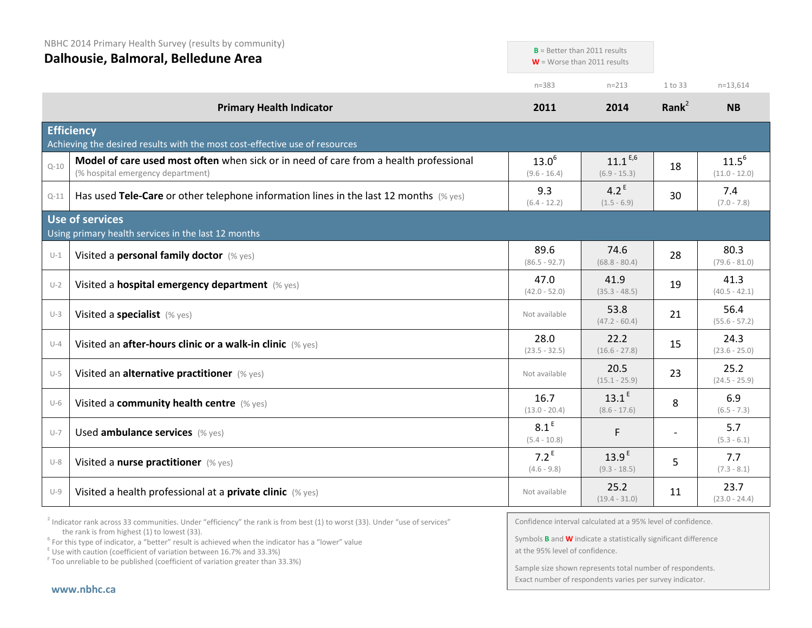| NBHC 2014 Primary Health Survey (results by community)<br>Dalhousie, Balmoral, Belledune Area |                                                                                                                            |                                    | $B$ = Better than 2011 results<br>$W =$ Worse than 2011 results |           |                               |
|-----------------------------------------------------------------------------------------------|----------------------------------------------------------------------------------------------------------------------------|------------------------------------|-----------------------------------------------------------------|-----------|-------------------------------|
|                                                                                               |                                                                                                                            | $n = 383$                          | $n = 213$                                                       | 1 to 33   | $n=13,614$                    |
|                                                                                               | <b>Primary Health Indicator</b>                                                                                            | 2011                               | 2014                                                            | Rank $^2$ | <b>NB</b>                     |
|                                                                                               | <b>Efficiency</b><br>Achieving the desired results with the most cost-effective use of resources                           |                                    |                                                                 |           |                               |
| $Q - 10$                                                                                      | Model of care used most often when sick or in need of care from a health professional<br>(% hospital emergency department) | $13.0^{6}$<br>$(9.6 - 16.4)$       | $11.1^{E,6}$<br>$(6.9 - 15.3)$                                  | 18        | $11.5^{6}$<br>$(11.0 - 12.0)$ |
| $Q-11$                                                                                        | Has used Tele-Care or other telephone information lines in the last 12 months $(\%$ yes)                                   | 9.3<br>$(6.4 - 12.2)$              | 4.2 $E$<br>$(1.5 - 6.9)$                                        | 30        | 7.4<br>$(7.0 - 7.8)$          |
|                                                                                               | <b>Use of services</b><br>Using primary health services in the last 12 months                                              |                                    |                                                                 |           |                               |
| $U-1$                                                                                         | Visited a personal family doctor (% yes)                                                                                   | 89.6<br>$(86.5 - 92.7)$            | 74.6<br>$(68.8 - 80.4)$                                         | 28        | 80.3<br>$(79.6 - 81.0)$       |
| $U-2$                                                                                         | Visited a hospital emergency department (% yes)                                                                            | 47.0<br>$(42.0 - 52.0)$            | 41.9<br>$(35.3 - 48.5)$                                         | 19        | 41.3<br>$(40.5 - 42.1)$       |
| $U-3$                                                                                         | Visited a specialist (% yes)                                                                                               | Not available                      | 53.8<br>$(47.2 - 60.4)$                                         | 21        | 56.4<br>$(55.6 - 57.2)$       |
| $U-4$                                                                                         | Visited an after-hours clinic or a walk-in clinic (% yes)                                                                  | 28.0<br>$(23.5 - 32.5)$            | 22.2<br>$(16.6 - 27.8)$                                         | 15        | 24.3<br>$(23.6 - 25.0)$       |
| $U-5$                                                                                         | Visited an alternative practitioner (% yes)                                                                                | Not available                      | 20.5<br>$(15.1 - 25.9)$                                         | 23        | 25.2<br>$(24.5 - 25.9)$       |
| $U-6$                                                                                         | Visited a community health centre (% yes)                                                                                  | 16.7<br>$(13.0 - 20.4)$            | 13.1 <sup>E</sup><br>$(8.6 - 17.6)$                             | 8         | 6.9<br>$(6.5 - 7.3)$          |
| $U-7$                                                                                         | Used ambulance services (% yes)                                                                                            | 8.1 <sup>E</sup><br>$(5.4 - 10.8)$ | F                                                               |           | 5.7<br>$(5.3 - 6.1)$          |
| $U-8$                                                                                         | Visited a nurse practitioner (% yes)                                                                                       | $7.2^E$<br>$(4.6 - 9.8)$           | 13.9 <sup>E</sup><br>$(9.3 - 18.5)$                             | 5         | 7.7<br>$(7.3 - 8.1)$          |
| $U-9$                                                                                         | Visited a health professional at a private clinic (% yes)                                                                  | Not available                      | 25.2<br>$(19.4 - 31.0)$                                         | 11        | 23.7<br>$(23.0 - 24.4)$       |

 $2$  Indicator rank across 33 communities. Under "efficiency" the rank is from best (1) to worst (33). Under "use of services" the rank is from highest (1) to lowest (33).

<sup>6</sup> For this type of indicator, a "better" result is achieved when the indicator has a "lower" value  $E$ <sup>E</sup> Use with caution (coefficient of variation between 16.7% and 33.3%)

<sup>F</sup> Too unreliable to be published (coefficient of variation greater than 33.3%)

Confidence interval calculated at a 95% level of confidence.

Symbols **B** and **W** indicate a statistically significant difference at the 95% level of confidence.

Sample size shown represents total number of respondents. Exact number of respondents varies per survey indicator.